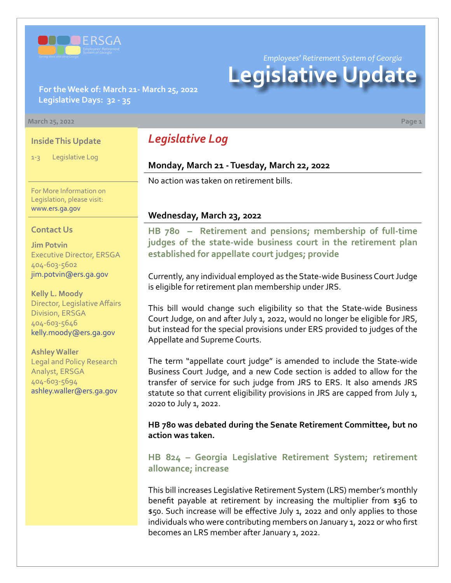

*Employees' Retirement System of Georgia*

# **Legislative Update**

**For the Week of: March 21- March 25, 2022 Legislative Days: 32 - 35**

#### **March 25, 2022 Page 1**

### **Inside This Update**

1-3 Legislative Log

For More Information on Legislation, please visit: [www.ers.ga.gov](http://www.ers.ga.gov/default.aspx)

#### **Contact Us**

**Jim Potvin** Executive Director, ERSGA 404-603-5602 jim.potvin@ers.ga.gov

**Kelly L. Moody** Director, Legislative Affairs Division, ERSGA 404-603-5646 kelly.moody@ers.ga.gov

**Ashley Waller** Legal and Policy Research Analyst, ERSGA 404-603-5694 ashley.waller@ers.ga.gov

# *Legislative Log*

### **Monday, March 21 - Tuesday, March 22, 2022**

No action was taken on retirement bills.

### **Wednesday, March 23, 2022**

**HB 780 – Retirement and pensions; membership of full-time [judges of the state-wide business court in the retirement plan](https://www.legis.ga.gov/legislation/60559)  established for appellate court judges; provide**

Currently, any individual employed as the State-wide Business Court Judge is eligible for retirement plan membership under JRS.

This bill would change such eligibility so that the State-wide Business Court Judge, on and after July 1, 2022, would no longer be eligible for JRS, but instead for the special provisions under ERS provided to judges of the Appellate and Supreme Courts.

The term "appellate court judge" is amended to include the State-wide Business Court Judge, and a new Code section is added to allow for the transfer of service for such judge from JRS to ERS. It also amends JRS statute so that current eligibility provisions in JRS are capped from July 1, 2020 to July 1, 2022.

**HB 780 was debated during the Senate Retirement Committee, but no action was taken.**

## **[HB 824 – Georgia Legislative Retirement System; retirement](https://www.legis.ga.gov/legislation/60709)  allowance; increase**

This bill increases Legislative Retirement System (LRS) member's monthly benefit payable at retirement by increasing the multiplier from \$36 to \$50. Such increase will be effective July 1, 2022 and only applies to those individuals who were contributing members on January 1, 2022 or who first becomes an LRS member after January 1, 2022.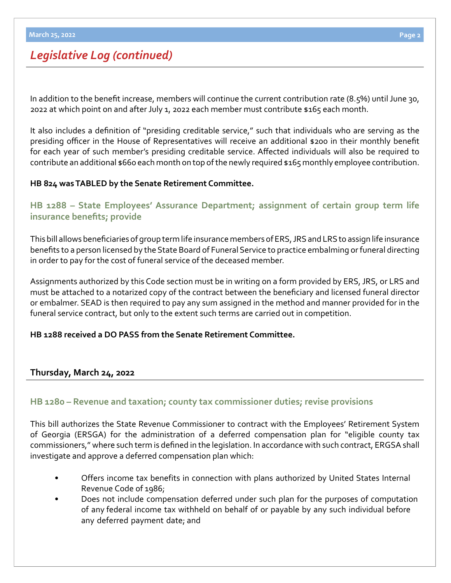# *Legislative Log (continued)*

In addition to the benefit increase, members will continue the current contribution rate (8.5%) until June 30, 2022 at which point on and after July 1, 2022 each member must contribute \$165 each month.

It also includes a definition of "presiding creditable service," such that individuals who are serving as the presiding officer in the House of Representatives will receive an additional \$200 in their monthly benefit for each year of such member's presiding creditable service. Affected individuals will also be required to contribute an additional \$660 each month on top of the newly required \$165 monthly employee contribution.

# **HB 824 was TABLED by the Senate Retirement Committee.**

**[HB 1288](https://www.legis.ga.gov/legislation/61906) – [State Employees' Assurance Department; assignment of certain group term life](https://www.legis.ga.gov/legislation/61906)  insurance benefits; provide**

This bill allows beneficiaries of group term life insurance members of ERS, JRS and LRS to assign life insurance benefits to a person licensed by the State Board of Funeral Service to practice embalming or funeral directing in order to pay for the cost of funeral service of the deceased member.

Assignments authorized by this Code section must be in writing on a form provided by ERS, JRS, or LRS and must be attached to a notarized copy of the contract between the beneficiary and licensed funeral director or embalmer. SEAD is then required to pay any sum assigned in the method and manner provided for in the funeral service contract, but only to the extent such terms are carried out in competition.

## **HB 1288 received a DO PASS from the Senate Retirement Committee.**

# **Thursday, March 24, 2022**

# **[HB 1280](https://www.legis.ga.gov/legislation/61893) – [Revenue and taxation; county tax commissioner duties; revise provisions](https://www.legis.ga.gov/legislation/61893)**

This bill authorizes the State Revenue Commissioner to contract with the Employees' Retirement System of Georgia (ERSGA) for the administration of a deferred compensation plan for "eligible county tax commissioners," where such term is defined in the legislation. In accordance with such contract, ERGSA shall investigate and approve a deferred compensation plan which:

- Offers income tax benefits in connection with plans authorized by United States Internal Revenue Code of 1986;
- Does not include compensation deferred under such plan for the purposes of computation of any federal income tax withheld on behalf of or payable by any such individual before any deferred payment date; and